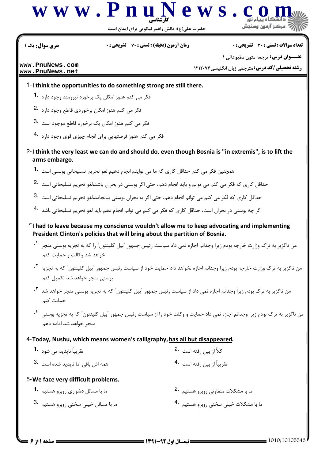

حضرت علی(ع): دانش راهبر نیکویی برای ایمان است

سری سوال : یک ۱

**زمان آزمون (دقیقه) : تستی : 70 ٪ تشریحی: 0** 

**تعداد سوالات : تستي : 30 - تشريحي : 0** 

www.PnuNews.com www.PnuNews.net

عنــوان درس: ترجمه متون مطبوعاتی ١

**رشته تحصیلی/کد درس:** مترجمی زبان انگلیسی7۱۲۰۷۶

- 1-I think the opportunities to do something strong are still there.
	- فکر می کنم هنوز امکان یک برخورد نیرومند وجود دارد **1**۰
	- فکر می کنم هنوز امکان برخوردی قاطع وجود دارد .2
	- فکر می کنم هنوز امکان یک برخورد قاطع موجود است .3
	- فکر می کنم هنوز فرصتهایی برای انجام چیزی قوی وجود دارد 4.
- 2-I think the very least we can do and should do, even though Bosnia is "in extremis", is to lift the arms embargo.
	- همچنین فکر می کنم حداقل کاری که ما می تواپنم انجام دهیم لغو تحریم تسلیحاتی بوسنی است ۔1
	- حداقل کاری که فکر می کنم می توانم و باید انجام دهم، حتی اگر بوسنی در بحران باشد،لغو تحریم تسلیحاتی است .2
	- حداقل کاری که فکر می کنم می توانم انجام دهم، حتی اگر به بحران بوسنی بیانجامد،لغو تحریم تسلیحاتی است .3
	- اگر چه بوسنی در بحران است، حداقل کاری که فکر می کنم می توانم انجام دهم باید لغو تحریم تسلیحاتی باشد 4۰
- -TI had to leave because my conscience wouldn't allow me to keep advocating and implementing President Clinton's policies that will bring about the partition of Bosnia.
	- من ناگزیر به ترک وزارت خارجه بودم زیرا وجدانم اجازه نمی داد سیاست رئیس جمهور "بیل کلینتون" را که به تجزیه بوسنی منجر <sup>۱</sup>۰ خواهد شد وكالت و حمايت كنم.
	- من ناگزیر به ترک وزارت خارجه بودم زیرا وجدانم اجازه نخواهد داد حمایت خود از سیاست رئیس جمهور <sup>"</sup>بیل کلینتون *"* که به تجزیه <sup>۲</sup>۰ بوسنی منجر خواهد شد تکمیل کنم.
	- من ناگزیر به ترک بودم زیرا وجدانم اجازه نمی داد از سیاست رئیس جمهور <sup>"</sup>بیل کلینتون *" ک*ه به تجزیه بوسنی منجر خواهد شد <sup>۳</sup>۰ حماىت كنم.
	- من ناگزیر به ترک بودم زیرا وجدانم اجازه نمی داد حمایت و وکلت خود را از سیاست رئیس جمهور <sup>"</sup>بیل کلینتون" که به تجزیه بوسنی <sup>۴</sup>۰ منجر خواهد شد ادامه دهم.
- 4-Today, Nushu, which means women's calligraphy, has all but disappeared.
	- تقریباً نایدید مے شود **1**۰ كلاً از بين رفته است 2. تقريباً از بين رفته است 4. همه اش باقی اما ناپدید شده است 3.
- 5-We face very difficult problems.
	- ما یا مشکلات متفاوتی روبرو هستیم 2. ما با مسائل دشواری روبرو هستیم **1۰** ما با مشکلات خیلی سختی روبرو هستیم 4. ما با مسائل خیلی سختی روبرو هستیم .3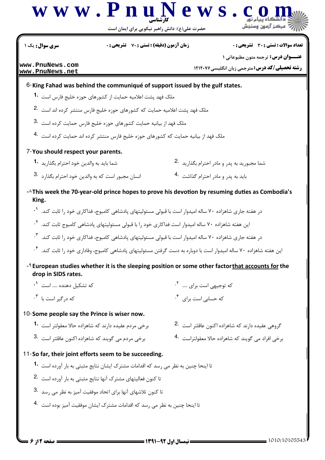

| سری سوال : یک ۱                                                                                                 | <b>زمان آزمون (دقیقه) : تستی : 70 ٪ تشریحی : 0</b> | تعداد سوالات : تستي : 30 ٪ تشريحي : 0                                                                                          |
|-----------------------------------------------------------------------------------------------------------------|----------------------------------------------------|--------------------------------------------------------------------------------------------------------------------------------|
| www.PnuNews.com                                                                                                 |                                                    | <b>عنــوان درس:</b> ترجمه متون مطبوعاتي 1                                                                                      |
| www.PnuNews.net                                                                                                 |                                                    | <b>رشته تحصیلی/کد درس: مترجمی زبان انگلیسی 121207</b>                                                                          |
| 6-King Fahad was behind the communiqué of support issued by the gulf states.                                    |                                                    |                                                                                                                                |
| ملک فهد یشت اعلامیه حمایت از کشورهای حوزه خلیج فارس است <b>1۰</b>                                               |                                                    |                                                                                                                                |
| ملک فهد پشت اعلامیه حمایت که کشورهای حوزه خلیج فارس منتشر کرده اند است <sup>.2</sup>                            |                                                    |                                                                                                                                |
| ملک فهد از بیانیه حمایت کشورهای حوزه خلیج فارس حمایت کرده است $\cdot$ 3                                         |                                                    |                                                                                                                                |
| ملک فهد از بیانیه حمایت که کشورهای حوزه خلیج فارس منتشر کرده اند حمایت کرده است 4۰                              |                                                    |                                                                                                                                |
| 7-You should respect your parents.                                                                              |                                                    |                                                                                                                                |
| شما بايد به والدين خود احترام بگذاريد <b>1</b> ۰                                                                |                                                    | شما مجبوريد به پدر و مادر احترام بگذاريد 2.                                                                                    |
| انسان مجبور است که به والدین خود احترام بگذارد <sup>3</sup> ۰                                                   |                                                    | باید به پدر و مادر احترام گذاشت 4.                                                                                             |
| King.                                                                                                           |                                                    | $\sim$ This week the 70-year-old prince hopes to prove his devotion by resuming duties as Combodia's                           |
|                                                                                                                 |                                                    | در هفته جاری شاهزاده ۷۰ ساله امیدوار است با قبولی مسئولیتهای پادشاهی کامبوج، فداکاری خود را ثابت کند. <sup>۱</sup> ۰           |
| این هفته شاهزاده ۷۰ ساله امیدوار است فداکاری خود را با قبولی مسئولیتهای پادشاهی کامبوج ثابت کند. <sup>۲</sup> ۰ |                                                    |                                                                                                                                |
|                                                                                                                 |                                                    | در هفته جاری شاهزاده ۷۰ ساله امیدوار است با قبولی مسئولیتهای پادشاهی کامبوج، فداکاری خود را ثابت کند. <sup>۳</sup> ۰           |
|                                                                                                                 |                                                    | این هفته شاهزاده ۷۰ ساله امیدوار است با دوباره به دست گرفتن مسئولیتهای پادشاهی کامبوج، وفاداری خود را ثابت کند. <sup>۴</sup> ۰ |
| drop in SIDS rates.                                                                                             |                                                    | - <sup>4</sup> European studies whether it is the sleeping position or some other factor that accounts for the                 |
| که تشکیل دهنده  است <sup>۱</sup> ۰                                                                              |                                                    | که توجیهی است برای <sup>۲</sup> ۰                                                                                              |
| که د <sub>ر</sub> گیر است با <sup>۳</sup> ۰                                                                     |                                                    | که حسابی است برای ۴.                                                                                                           |
| 10-Some people say the Prince is wiser now.                                                                     |                                                    |                                                                                                                                |
| برخی مردم عقیده دارند که شاهزاده حالا معقولتر است 1۰                                                            |                                                    | گروهی عقیده دارند که شاهزاده اکنون عاقلتر است <sup>.2</sup>                                                                    |
| برخی مردم می گویند که شاهزاده اکنون عاقلتر است <sup>.3</sup>                                                    |                                                    | برخي افراد مي گويند كه شاهزاده حالا معقولتراست <sup>4</sup> ۰                                                                  |
| 11-So far, their joint efforts seem to be succeeding.                                                           |                                                    |                                                                                                                                |
| تا اینحا چنین به نظر می رسد که اقدامات مشترک ایشان نتایج مثبتی به بار آورده است <sup>-1</sup>                   |                                                    |                                                                                                                                |
| تا کنون فعالیتهای مشترک آنها نتایج مثبتی به بار آورده است <sup>.2</sup>                                         |                                                    |                                                                                                                                |
| تا کنون تلاشهای آنها برای اتحاد موفقیت آمیز به نظر می رسد <sup>.3</sup>                                         |                                                    |                                                                                                                                |
| تا اینحا چنین به نظر می رسد که اقدامات مشترک ایشان موفقیت آمیز بوده است 4۰                                      |                                                    |                                                                                                                                |
|                                                                                                                 |                                                    |                                                                                                                                |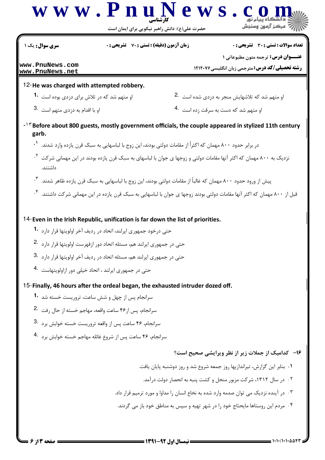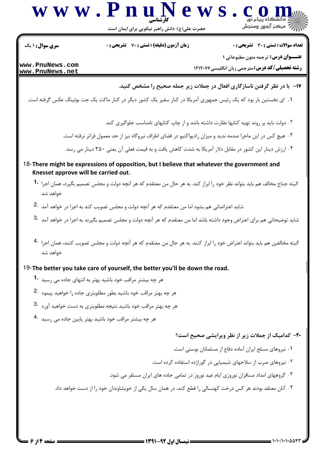

حضرت علی(ع): دانش راهبر نیکویی برای ایمان است

تعداد سوالات : تستى : 30 ٪ تشريحي : 0

**زمان آزمون (دقیقه) : تستی : 70 قشریحی: 0** 

**سری سوال : ۱ یک** 

**عنــوان درس:** ترجمه متون مطبوعاتی 1

**رشته تحصیلی/کد درس: مترجمی زبان انگلیسی ۱۲۱۲۰۷۶** 

www.PnuNews.com www.PnuNews.net

**۱۷**- با در نظر گرفتن ناسازگاری افعال در جملات زیر جمله صحیح را مشخص کنید.

۰۱ ای نخستین بار بود که یک رئیس جمهوری آمریکا در کنار سفیر یک کشور دیگر در کنار ماکت یک جت بوئینگ عکس گرفته است.

۰۲ دولت باید بر روند تهیه کتابها نظارت داشته باشد و از چاپ کتابهای نامناسب جلوگیری کند.

۰۳ هیچ کس در این ماجرا صدمه ندید و میزان رادیواکتیو در فضای اطراف نیروگاه نیز از حد معمول فراتر نرفته است.

۰۴ ارزش دینار این کشور در مقابل دلار آمریکا به شدت کاهش یافت و به قیمت فعلی آن یعنی ۳۵۰ دینار می رسد.

- 18-There might be expressions of opposition, but I believe that whatever the government and Knesset approve will be carried out.
	- البته جناح مخالف هم بايد بتواند نظر خود را ابراز كند. به هر حال من معتقدم كه هر آنچه دولت و مجلس تصميم بگيرد، همان اجرا 1۰ خواهد شد
	- شاید اعتراضاتی هم بشود اما من معتقدم که هر آنچه دولت و مجلس تصویب کند به اجرا در خواهد آمد <sup>.2</sup>
	- شاید توضیحاتی هم برای اعتراض وجود داشته باشد اما من معتقدم که هر آنچه دولت و مجلس تصمیم بگیرند به اجرا در خواهد آمد
	- البته مخالفين هم بايد بتواند اعتراض خود را ابراز كنند. به هر حال من معتقدم كه هر آنچه دولت و مجلس تصويب كنند، همان اجرا 4. خواهد شد

19-The better you take care of yourself, the better you'll be down the road.

- هر چه بیشتر مراقب خود باشید بهتر به انتهای جاده می , رسید 1۰
- هر چه بهتر مراقب خود باشید بطور مطلوبتری جاده را خواهید پیمود 2.
- هر چه بهتر مراقب خود باشید نتیجه مطلوبتری به دست خواهید آورد 3.
- هر چه بیشتر مراقب خود باشید بهتر پایین جاده می رسید 4.

**۲۰**- کدامیک از جملات زیر از نظر ویرایشی صحیح است؟

- ٠١ نيروهاي مسلح ايران آماده دفاع از مسلمانان بوسنى است.
- ۰۲ نیروهای صرب از سلاحهای شیمیایی در گوراژده استفاده کرده است.
- ۰۳ گروههای امداد مسافران نوروزی ایام عید نوروز در تمامی جاده های ایران مستقر می شود.
- ۰۴ آنان معتقد بودند هر کس درخت کهنسالی را قطع کند، در همان سال یکی از خویشاوندان خود را از دست خواهد داد.

 $= 1.11/1.1.0084$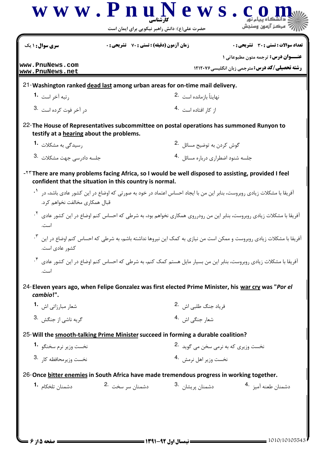| سری سوال: ۱ یک                           | <b>زمان آزمون (دقیقه) : تستی : 70 قشریحی : 0</b>                                                                                                                 |                                               | <b>تعداد سوالات : تستی : 30 ٪ تشریحی : 0</b><br><b>عنـــوان درس:</b> ترجمه متون مطبوعاتی ۱                                                     |  |
|------------------------------------------|------------------------------------------------------------------------------------------------------------------------------------------------------------------|-----------------------------------------------|------------------------------------------------------------------------------------------------------------------------------------------------|--|
| www.PnuNews.com<br>www.PnuNews.net       |                                                                                                                                                                  |                                               | <b>رشته تحصیلی/کد درس: مترجمی زبان انگلیسی 121207</b>                                                                                          |  |
|                                          | 21-Washington ranked dead last among urban areas for on-time mail delivery.                                                                                      |                                               |                                                                                                                                                |  |
| رتبه آخر است <sup>.1</sup>               |                                                                                                                                                                  | نهايتاً بازمانده است <sup>2</sup> ۰           |                                                                                                                                                |  |
| در آخر فوت كرده است .3                   |                                                                                                                                                                  | از کار افتاده است 4.                          |                                                                                                                                                |  |
| testify at a hearing about the problems. | 22-The House of Representatives subcommittee on postal operations has summoned Runyon to                                                                         |                                               |                                                                                                                                                |  |
| رسیدگی به مشکلات   • 1                   |                                                                                                                                                                  | گوش کردن به توضیح مسائل 2.                    |                                                                                                                                                |  |
| جلسه دادرسی جهت مشکلات <sup>.3</sup>     |                                                                                                                                                                  | جلسه شنود اضطراری درباره مسائل <sup>4</sup> ۰ |                                                                                                                                                |  |
|                                          | $-5$ There are many problems facing Africa, so I would be well disposed to assisting, provided I feel<br>confident that the situation in this country is normal. |                                               |                                                                                                                                                |  |
| قبال همکاری مخالفت نخواهم کرد.           |                                                                                                                                                                  |                                               | آفریقا با مشکلات زیادی روبروست، بنابر این من با ایجاد احساس اعتماد در خود به صورتی که اوضاع در این کشور عادی باشد، در <sup>۱</sup> ۰           |  |
| است.                                     |                                                                                                                                                                  |                                               | آفریقا با مشکلات زیادی روبروست، بنابر این من رودرروی همکاری نخواهم بود، به شرطی که احساس کنم اوضاع در این کشور عادی <sup>۲</sup> ۰             |  |
| كشور عادى است.                           |                                                                                                                                                                  |                                               | آفریقا با مشکلات زیادی روبروست و ممکن است من نیازی به کمک این نیروها نداشته باشم، به شرط <sub>ی</sub> که احساس کنم اوضاع در این <sup>۲</sup> ۰ |  |
| است.                                     |                                                                                                                                                                  |                                               | آفریقا با مشکلات زیادی روبروست، بنابر این من بسیار مایل هستم کمک کنم، به شرطی که احساس کنم اوضاع در این کشور عادی <sup>۴</sup> ۰               |  |
| cambio!".                                |                                                                                                                                                                  |                                               | 24-Eleven years ago, when Felipe Gonzalez was first elected Prime Minister, his war cry was "Por el                                            |  |
| شعار مبارزاتی اش 1.                      |                                                                                                                                                                  | فرياد جنگ طلبي اش 2.                          |                                                                                                                                                |  |
| گريه ناشي از جنگش . <sup>3</sup>         |                                                                                                                                                                  | شعار جنگی اش 4.                               |                                                                                                                                                |  |
|                                          | 25- Will the smooth-talking Prime Minister succeed in forming a durable coalition?                                                                               |                                               |                                                                                                                                                |  |
| نخست وزير نرم سخنگو 1.                   |                                                                                                                                                                  | نخست وزیری که به نرمی سخن می گوید .2          |                                                                                                                                                |  |
| نخست وزيرمحافظه كا, 3.                   |                                                                                                                                                                  | نخست وزير اهل نرمش . <sup>4</sup>             |                                                                                                                                                |  |
|                                          | 26-Once bitter enemies in South Africa have made tremendous progress in working together.                                                                        |                                               |                                                                                                                                                |  |
|                                          | دشمنان سر سخت 2.                                                                                                                                                 | دشمنان پریشان <sup>.3</sup>                   | دشمنان طعنه آميز 4.                                                                                                                            |  |